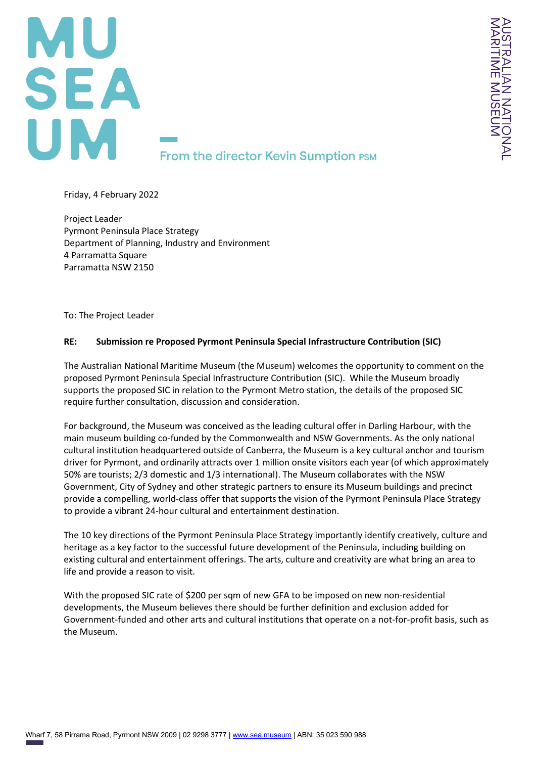

Friday, 4 February 2022

Project Leader Pyrmont Peninsula Place Strategy Department of Planning, Industry and Environment 4 Parramatta Square Parramatta NSW 2150

To: The Project Leader

## **RE: Submission re Proposed Pyrmont Peninsula Special Infrastructure Contribution (SIC)**

The Australian National Maritime Museum (the Museum) welcomes the opportunity to comment on the proposed Pyrmont Peninsula Special Infrastructure Contribution (SIC). While the Museum broadly supports the proposed SIC in relation to the Pyrmont Metro station, the details of the proposed SIC require further consultation, discussion and consideration.

For background, the Museum was conceived as the leading cultural offer in Darling Harbour, with the main museum building co-funded by the Commonwealth and NSW Governments. As the only national cultural institution headquartered outside of Canberra, the Museum is a key cultural anchor and tourism driver for Pyrmont, and ordinarily attracts over 1 million onsite visitors each year (of which approximately 50% are tourists; 2/3 domestic and 1/3 international). The Museum collaborates with the NSW Government, City of Sydney and other strategic partners to ensure its Museum buildings and precinct provide a compelling, world-class offer that supports the vision of the Pyrmont Peninsula Place Strategy to provide a vibrant 24-hour cultural and entertainment destination.

The 10 key directions of the Pyrmont Peninsula Place Strategy importantly identify creatively, culture and heritage as a key factor to the successful future development of the Peninsula, including building on existing cultural and entertainment offerings. The arts, culture and creativity are what bring an area to life and provide a reason to visit.

With the proposed SIC rate of \$200 per sqm of new GFA to be imposed on new non-residential developments, the Museum believes there should be further definition and exclusion added for Government-funded and other arts and cultural institutions that operate on a not-for-profit basis, such as the Museum.